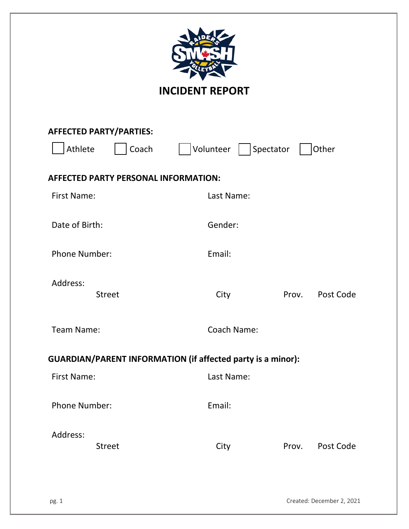| <b>INCIDENT REPORT</b>                             |                                                                    |  |  |  |  |
|----------------------------------------------------|--------------------------------------------------------------------|--|--|--|--|
| <b>AFFECTED PARTY/PARTIES:</b><br>Athlete<br>Coach | Volunteer   Spectator<br>Other                                     |  |  |  |  |
|                                                    |                                                                    |  |  |  |  |
| <b>AFFECTED PARTY PERSONAL INFORMATION:</b>        |                                                                    |  |  |  |  |
| <b>First Name:</b>                                 | Last Name:                                                         |  |  |  |  |
| Date of Birth:                                     | Gender:                                                            |  |  |  |  |
| <b>Phone Number:</b>                               | Email:                                                             |  |  |  |  |
| Address:<br><b>Street</b>                          | Prov.<br>Post Code<br>City                                         |  |  |  |  |
| Team Name:                                         | Coach Name:                                                        |  |  |  |  |
|                                                    | <b>GUARDIAN/PARENT INFORMATION (if affected party is a minor):</b> |  |  |  |  |
| First Name:                                        | Last Name:                                                         |  |  |  |  |
| <b>Phone Number:</b>                               | Email:                                                             |  |  |  |  |
| Address:<br><b>Street</b>                          | Post Code<br>City<br>Prov.                                         |  |  |  |  |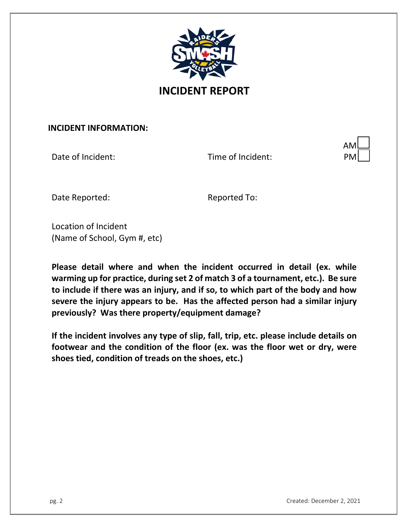

**INCIDENT REPORT**

#### **INCIDENT INFORMATION:**

Date of Incident: Time of Incident:

| AMl    |   |
|--------|---|
| M<br>Р | l |

Date Reported: The Reported To:

Location of Incident (Name of School, Gym #, etc)

**Please detail where and when the incident occurred in detail (ex. while warming up for practice, during set 2 of match 3 of a tournament, etc.). Be sure to include if there was an injury, and if so, to which part of the body and how severe the injury appears to be. Has the affected person had a similar injury previously? Was there property/equipment damage?**

**If the incident involves any type of slip, fall, trip, etc. please include details on footwear and the condition of the floor (ex. was the floor wet or dry, were shoes tied, condition of treads on the shoes, etc.)**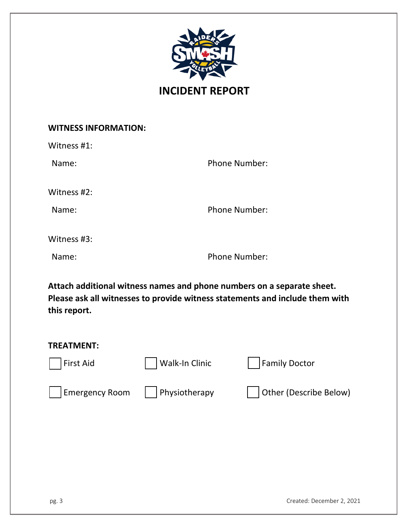

## **INCIDENT REPORT**

### **WITNESS INFORMATION:**

| Witness #1: |                      |
|-------------|----------------------|
| Name:       | <b>Phone Number:</b> |
| Witness #2: |                      |
| Name:       | <b>Phone Number:</b> |
| Witness #3: |                      |
| Name:       | <b>Phone Number:</b> |

**Attach additional witness names and phone numbers on a separate sheet. Please ask all witnesses to provide witness statements and include them with this report.**

| <b>TREATMENT:</b>     |                |                        |
|-----------------------|----------------|------------------------|
| First Aid             | Walk-In Clinic | <b>Family Doctor</b>   |
| <b>Emergency Room</b> | Physiotherapy  | Other (Describe Below) |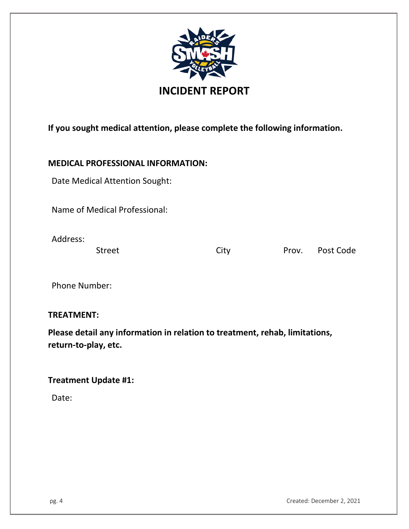

**If you sought medical attention, please complete the following information.**

### **MEDICAL PROFESSIONAL INFORMATION:**

Date Medical Attention Sought:

Name of Medical Professional:

Address:

Street City City Prov. Post Code

Phone Number:

**TREATMENT:**

**Please detail any information in relation to treatment, rehab, limitations, return-to-play, etc.**

### **Treatment Update #1:**

Date: